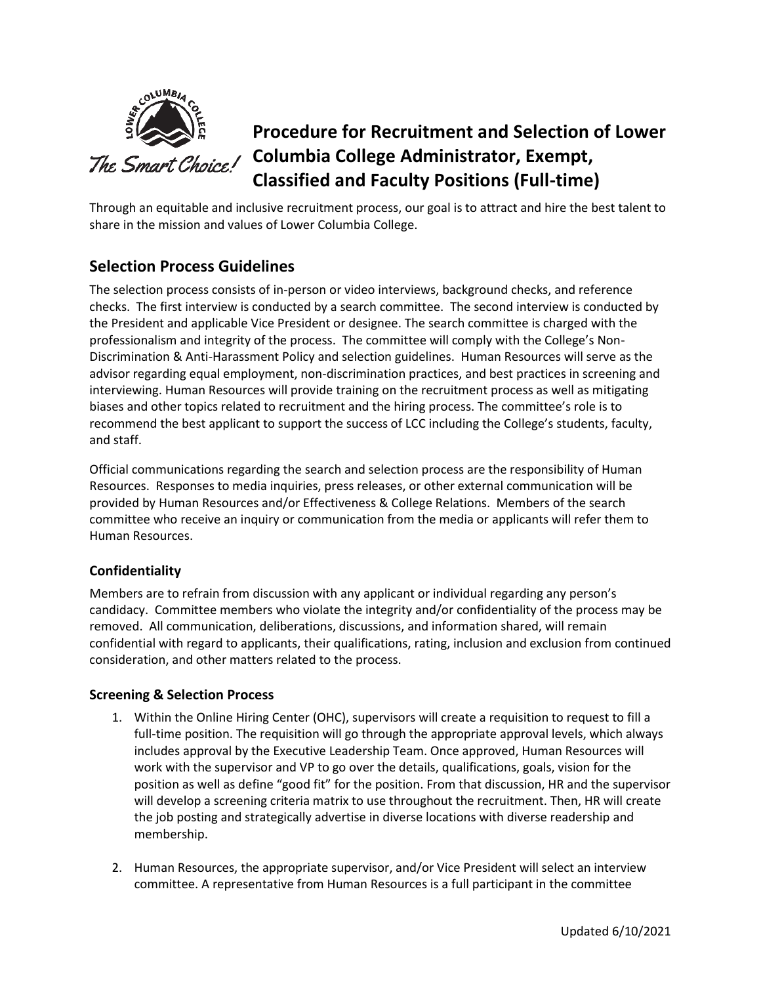

# **Procedure for Recruitment and Selection of Lower Columbia College Administrator, Exempt, Classified and Faculty Positions (Full-time)**

Through an equitable and inclusive recruitment process, our goal is to attract and hire the best talent to share in the mission and values of Lower Columbia College.

## **Selection Process Guidelines**

The selection process consists of in-person or video interviews, background checks, and reference checks. The first interview is conducted by a search committee.The second interview is conducted by the President and applicable Vice President or designee. The search committee is charged with the professionalism and integrity of the process. The committee will comply with the College's Non-Discrimination & Anti-Harassment Policy and selection guidelines. Human Resources will serve as the advisor regarding equal employment, non-discrimination practices, and best practices in screening and interviewing. Human Resources will provide training on the recruitment process as well as mitigating biases and other topics related to recruitment and the hiring process. The committee's role is to recommend the best applicant to support the success of LCC including the College's students, faculty, and staff.

Official communications regarding the search and selection process are the responsibility of Human Resources. Responses to media inquiries, press releases, or other external communication will be provided by Human Resources and/or Effectiveness & College Relations. Members of the search committee who receive an inquiry or communication from the media or applicants will refer them to Human Resources.

### **Confidentiality**

Members are to refrain from discussion with any applicant or individual regarding any person's candidacy. Committee members who violate the integrity and/or confidentiality of the process may be removed. All communication, deliberations, discussions, and information shared, will remain confidential with regard to applicants, their qualifications, rating, inclusion and exclusion from continued consideration, and other matters related to the process.

#### **Screening & Selection Process**

- 1. Within the Online Hiring Center (OHC), supervisors will create a requisition to request to fill a full-time position. The requisition will go through the appropriate approval levels, which always includes approval by the Executive Leadership Team. Once approved, Human Resources will work with the supervisor and VP to go over the details, qualifications, goals, vision for the position as well as define "good fit" for the position. From that discussion, HR and the supervisor will develop a screening criteria matrix to use throughout the recruitment. Then, HR will create the job posting and strategically advertise in diverse locations with diverse readership and membership.
- 2. Human Resources, the appropriate supervisor, and/or Vice President will select an interview committee. A representative from Human Resources is a full participant in the committee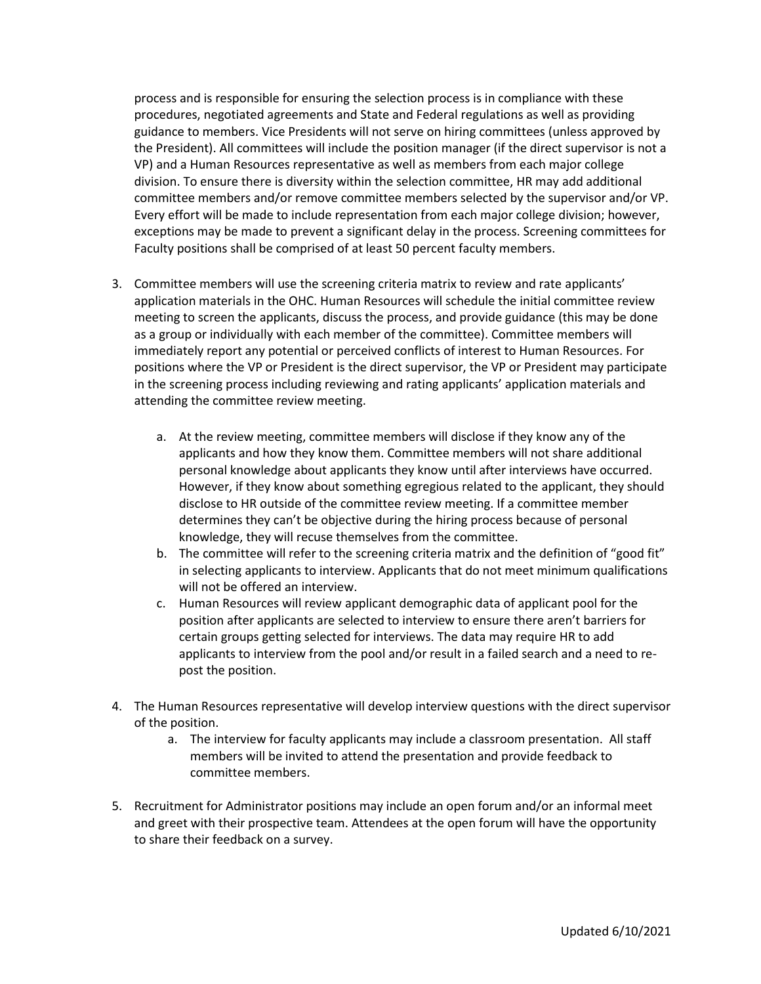process and is responsible for ensuring the selection process is in compliance with these procedures, negotiated agreements and State and Federal regulations as well as providing guidance to members. Vice Presidents will not serve on hiring committees (unless approved by the President). All committees will include the position manager (if the direct supervisor is not a VP) and a Human Resources representative as well as members from each major college division. To ensure there is diversity within the selection committee, HR may add additional committee members and/or remove committee members selected by the supervisor and/or VP. Every effort will be made to include representation from each major college division; however, exceptions may be made to prevent a significant delay in the process. Screening committees for Faculty positions shall be comprised of at least 50 percent faculty members.

- 3. Committee members will use the screening criteria matrix to review and rate applicants' application materials in the OHC. Human Resources will schedule the initial committee review meeting to screen the applicants, discuss the process, and provide guidance (this may be done as a group or individually with each member of the committee). Committee members will immediately report any potential or perceived conflicts of interest to Human Resources. For positions where the VP or President is the direct supervisor, the VP or President may participate in the screening process including reviewing and rating applicants' application materials and attending the committee review meeting.
	- a. At the review meeting, committee members will disclose if they know any of the applicants and how they know them. Committee members will not share additional personal knowledge about applicants they know until after interviews have occurred. However, if they know about something egregious related to the applicant, they should disclose to HR outside of the committee review meeting. If a committee member determines they can't be objective during the hiring process because of personal knowledge, they will recuse themselves from the committee.
	- b. The committee will refer to the screening criteria matrix and the definition of "good fit" in selecting applicants to interview. Applicants that do not meet minimum qualifications will not be offered an interview.
	- c. Human Resources will review applicant demographic data of applicant pool for the position after applicants are selected to interview to ensure there aren't barriers for certain groups getting selected for interviews. The data may require HR to add applicants to interview from the pool and/or result in a failed search and a need to repost the position.
- 4. The Human Resources representative will develop interview questions with the direct supervisor of the position.
	- a. The interview for faculty applicants may include a classroom presentation. All staff members will be invited to attend the presentation and provide feedback to committee members.
- 5. Recruitment for Administrator positions may include an open forum and/or an informal meet and greet with their prospective team. Attendees at the open forum will have the opportunity to share their feedback on a survey.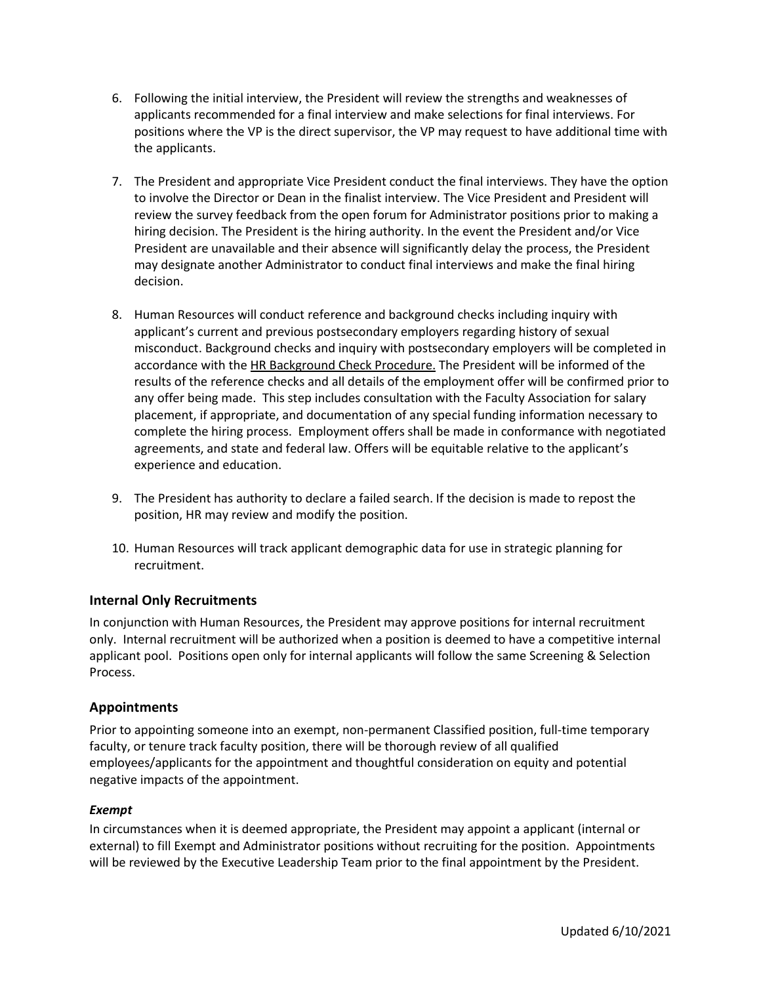- 6. Following the initial interview, the President will review the strengths and weaknesses of applicants recommended for a final interview and make selections for final interviews. For positions where the VP is the direct supervisor, the VP may request to have additional time with the applicants.
- 7. The President and appropriate Vice President conduct the final interviews. They have the option to involve the Director or Dean in the finalist interview. The Vice President and President will review the survey feedback from the open forum for Administrator positions prior to making a hiring decision. The President is the hiring authority. In the event the President and/or Vice President are unavailable and their absence will significantly delay the process, the President may designate another Administrator to conduct final interviews and make the final hiring decision.
- 8. Human Resources will conduct reference and background checks including inquiry with applicant's current and previous postsecondary employers regarding history of sexual misconduct. Background checks and inquiry with postsecondary employers will be completed in accordance with th[e HR Background Check Procedure.](http://internal.lowercolumbia.edu/departments/human-resources/_assets/documents/HR_BackgroundChecksProcedure.pdf) The President will be informed of the results of the reference checks and all details of the employment offer will be confirmed prior to any offer being made. This step includes consultation with the Faculty Association for salary placement, if appropriate, and documentation of any special funding information necessary to complete the hiring process. Employment offers shall be made in conformance with negotiated agreements, and state and federal law. Offers will be equitable relative to the applicant's experience and education.
- 9. The President has authority to declare a failed search. If the decision is made to repost the position, HR may review and modify the position.
- 10. Human Resources will track applicant demographic data for use in strategic planning for recruitment.

#### **Internal Only Recruitments**

In conjunction with Human Resources, the President may approve positions for internal recruitment only. Internal recruitment will be authorized when a position is deemed to have a competitive internal applicant pool. Positions open only for internal applicants will follow the same Screening & Selection Process.

#### **Appointments**

Prior to appointing someone into an exempt, non-permanent Classified position, full-time temporary faculty, or tenure track faculty position, there will be thorough review of all qualified employees/applicants for the appointment and thoughtful consideration on equity and potential negative impacts of the appointment.

#### *Exempt*

In circumstances when it is deemed appropriate, the President may appoint a applicant (internal or external) to fill Exempt and Administrator positions without recruiting for the position. Appointments will be reviewed by the Executive Leadership Team prior to the final appointment by the President.